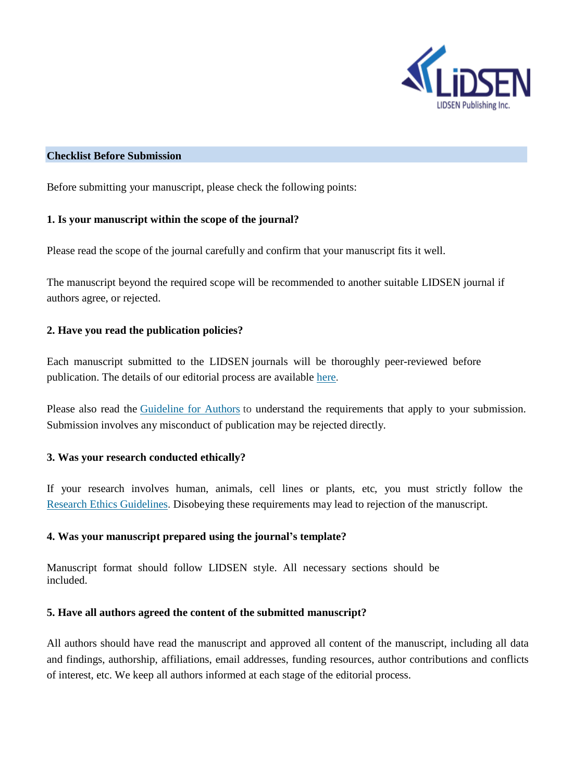

### **Checklist Before Submission**

Before submitting your manuscript, please check the following points:

### **1. Is your manuscript within the scope of the journal?**

Please read the scope of the journal carefully and confirm that your manuscript fits it well.

The manuscript beyond the required scope will be recommended to another suitable LIDSEN journal if authors agree, or rejected.

# **2. Have you read the publication policies?**

Each manuscript submitted to the LIDSEN journals will be thoroughly peer-reviewed before publication. The details of our editorial process are available [here.](http://www.lidsen.com/policies/show.php?lang=en&id=77)

Please also read the [Guideline](http://www.lidsen.com/policies/show.php?lang=en&id=72) for Authors to understand the requirements that apply to your submission. Submission involves any misconduct of publication may be rejected directly.

# **3. Was your research conducted ethically?**

If your research involves human, animals, cell lines or plants, etc, you must strictly follow the Research [Ethics Guidelines. D](http://www.lidsen.com/policies/show.php?lang=en&id=76)isobeying these requirements may lead to rejection of the manuscript.

# **4. Was your manuscript prepared using the journal's template?**

Manuscript format should follow LIDSEN style. All necessary sections should be included.

# **5. Have all authors agreed the content of the submitted manuscript?**

All authors should have read the manuscript and approved all content of the manuscript, including all data and findings, authorship, affiliations, email addresses, funding resources, author contributions and conflicts of interest, etc. We keep all authors informed at each stage of the editorial process.